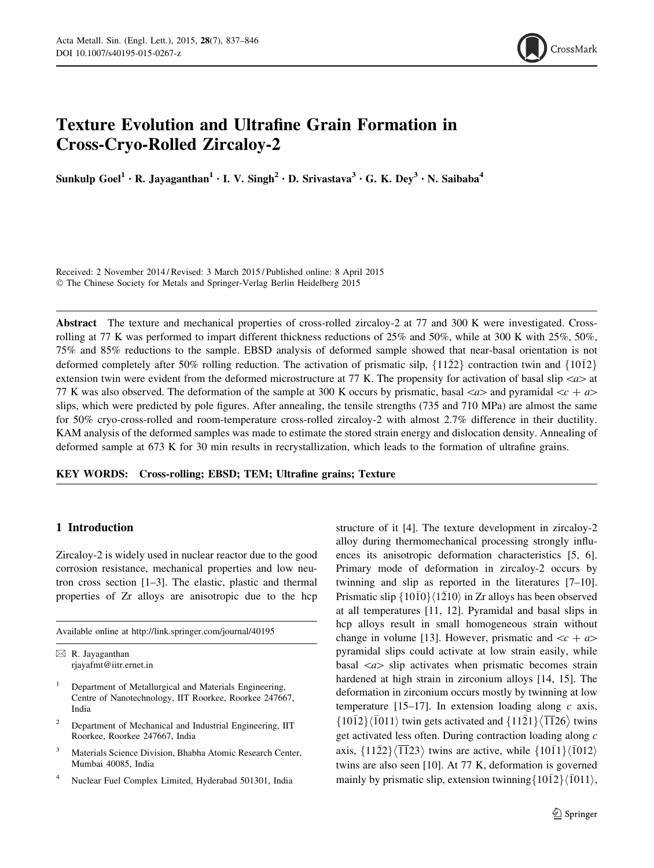

# Texture Evolution and Ultrafine Grain Formation in Cross-Cryo-Rolled Zircaloy-2

Sunkulp Goel<sup>1</sup> · R. Jayaganthan<sup>1</sup> · I. V. Singh<sup>2</sup> · D. Srivastava<sup>3</sup> · G. K. Dey<sup>3</sup> · N. Saibaba<sup>4</sup>

Received: 2 November 2014 / Revised: 3 March 2015 / Published online: 8 April 2015 - The Chinese Society for Metals and Springer-Verlag Berlin Heidelberg 2015

Abstract The texture and mechanical properties of cross-rolled zircaloy-2 at 77 and 300 K were investigated. Crossrolling at 77 K was performed to impart different thickness reductions of 25% and 50%, while at 300 K with 25%, 50%, 75% and 85% reductions to the sample. EBSD analysis of deformed sample showed that near-basal orientation is not deformed completely after 50% rolling reduction. The activation of prismatic silp,  $\{11\overline{2}2\}$  contraction twin and  $\{10\overline{1}2\}$ extension twin were evident from the deformed microstructure at 77 K. The propensity for activation of basal slip  $\langle a \rangle$  at 77 K was also observed. The deformation of the sample at 300 K occurs by prismatic, basal  $\langle a \rangle$  and pyramidal  $\langle c + a \rangle$ slips, which were predicted by pole figures. After annealing, the tensile strengths (735 and 710 MPa) are almost the same for 50% cryo-cross-rolled and room-temperature cross-rolled zircaloy-2 with almost 2.7% difference in their ductility. KAM analysis of the deformed samples was made to estimate the stored strain energy and dislocation density. Annealing of deformed sample at 673 K for 30 min results in recrystallization, which leads to the formation of ultrafine grains.

KEY WORDS: Cross-rolling; EBSD; TEM; Ultrafine grains; Texture

# 1 Introduction

Zircaloy-2 is widely used in nuclear reactor due to the good corrosion resistance, mechanical properties and low neutron cross section [1–3]. The elastic, plastic and thermal properties of Zr alloys are anisotropic due to the hcp

Available online at http://link.springer.com/journal/40195

 $\boxtimes$  R. Jayaganthan rjayafmt@iitr.ernet.in

- <sup>1</sup> Department of Metallurgical and Materials Engineering, Centre of Nanotechnology, IIT Roorkee, Roorkee 247667, India
- <sup>2</sup> Department of Mechanical and Industrial Engineering, IIT Roorkee, Roorkee 247667, India
- <sup>3</sup> Materials Science Division, Bhabha Atomic Research Center, Mumbai 40085, India
- <sup>4</sup> Nuclear Fuel Complex Limited, Hyderabad 501301, India

structure of it [4]. The texture development in zircaloy-2 alloy during thermomechanical processing strongly influences its anisotropic deformation characteristics [5, 6]. Primary mode of deformation in zircaloy-2 occurs by twinning and slip as reported in the literatures [7–10]. Prismatic slip  $\{10\bar{1}0\}\langle1\bar{2}10\rangle$  in Zr alloys has been observed at all temperatures [11, 12]. Pyramidal and basal slips in hcp alloys result in small homogeneous strain without change in volume [13]. However, prismatic and  $\langle c + a \rangle$ pyramidal slips could activate at low strain easily, while basal  $\langle a \rangle$  slip activates when prismatic becomes strain hardened at high strain in zirconium alloys [14, 15]. The deformation in zirconium occurs mostly by twinning at low temperature [15–17]. In extension loading along *c* axis,  $\{10\bar{1}2\}\langle\bar{1}011\rangle$  twin gets activated and  $\{11\bar{2}1\}\langle\overline{11}26\rangle$  twins get activated less often. During contraction loading along *c* axis,  $\{11\overline{2}2\}\langle\overline{11}23\rangle$  twins are active, while  $\{10\overline{1}1\}\langle\overline{1}012\rangle$ twins are also seen [10]. At 77 K, deformation is governed mainly by prismatic slip, extension twinning  $\{10\overline{12}\}\langle\overline{1}011\rangle$ ,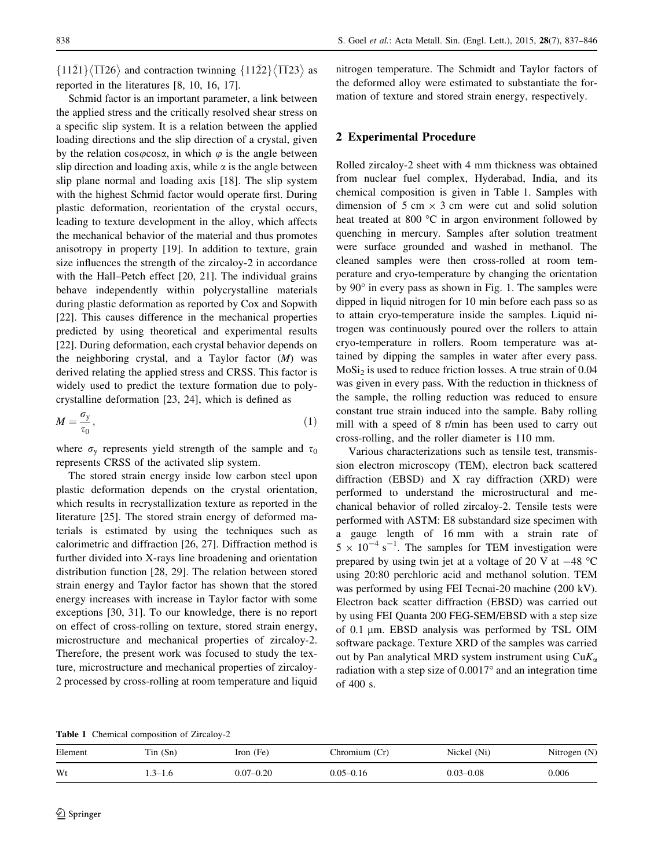$\{11\overline{2}1\}\langle\overline{11}26\rangle$  and contraction twinning  $\{11\overline{2}2\}\langle\overline{11}23\rangle$  as reported in the literatures [8, 10, 16, 17].

Schmid factor is an important parameter, a link between the applied stress and the critically resolved shear stress on a specific slip system. It is a relation between the applied loading directions and the slip direction of a crystal, given by the relation  $cos\varphi cos\alpha$ , in which  $\varphi$  is the angle between slip direction and loading axis, while  $\alpha$  is the angle between slip plane normal and loading axis [18]. The slip system with the highest Schmid factor would operate first. During plastic deformation, reorientation of the crystal occurs, leading to texture development in the alloy, which affects the mechanical behavior of the material and thus promotes anisotropy in property [19]. In addition to texture, grain size influences the strength of the zircaloy-2 in accordance with the Hall–Petch effect [20, 21]. The individual grains behave independently within polycrystalline materials during plastic deformation as reported by Cox and Sopwith [22]. This causes difference in the mechanical properties predicted by using theoretical and experimental results [22]. During deformation, each crystal behavior depends on the neighboring crystal, and a Taylor factor (*M*) was derived relating the applied stress and CRSS. This factor is widely used to predict the texture formation due to polycrystalline deformation [23, 24], which is defined as

$$
M = \frac{\sigma_{\rm y}}{\tau_0},\tag{1}
$$

where  $\sigma_{v}$  represents yield strength of the sample and  $\tau_{0}$ represents CRSS of the activated slip system.

The stored strain energy inside low carbon steel upon plastic deformation depends on the crystal orientation, which results in recrystallization texture as reported in the literature [25]. The stored strain energy of deformed materials is estimated by using the techniques such as calorimetric and diffraction [26, 27]. Diffraction method is further divided into X-rays line broadening and orientation distribution function [28, 29]. The relation between stored strain energy and Taylor factor has shown that the stored energy increases with increase in Taylor factor with some exceptions [30, 31]. To our knowledge, there is no report on effect of cross-rolling on texture, stored strain energy, microstructure and mechanical properties of zircaloy-2. Therefore, the present work was focused to study the texture, microstructure and mechanical properties of zircaloy-2 processed by cross-rolling at room temperature and liquid nitrogen temperature. The Schmidt and Taylor factors of the deformed alloy were estimated to substantiate the formation of texture and stored strain energy, respectively.

### 2 Experimental Procedure

Rolled zircaloy-2 sheet with 4 mm thickness was obtained from nuclear fuel complex, Hyderabad, India, and its chemical composition is given in Table 1. Samples with dimension of 5 cm  $\times$  3 cm were cut and solid solution heat treated at 800  $^{\circ}$ C in argon environment followed by quenching in mercury. Samples after solution treatment were surface grounded and washed in methanol. The cleaned samples were then cross-rolled at room temperature and cryo-temperature by changing the orientation by  $90^\circ$  in every pass as shown in Fig. 1. The samples were dipped in liquid nitrogen for 10 min before each pass so as to attain cryo-temperature inside the samples. Liquid nitrogen was continuously poured over the rollers to attain cryo-temperature in rollers. Room temperature was attained by dipping the samples in water after every pass.  $MoSi<sub>2</sub>$  is used to reduce friction losses. A true strain of 0.04 was given in every pass. With the reduction in thickness of the sample, the rolling reduction was reduced to ensure constant true strain induced into the sample. Baby rolling mill with a speed of 8 r/min has been used to carry out cross-rolling, and the roller diameter is 110 mm.

Various characterizations such as tensile test, transmission electron microscopy (TEM), electron back scattered diffraction (EBSD) and X ray diffraction (XRD) were performed to understand the microstructural and mechanical behavior of rolled zircaloy-2. Tensile tests were performed with ASTM: E8 substandard size specimen with a gauge length of 16 mm with a strain rate of  $5 \times 10^{-4}$  s<sup>-1</sup>. The samples for TEM investigation were prepared by using twin jet at a voltage of 20 V at  $-48$  °C using 20:80 perchloric acid and methanol solution. TEM was performed by using FEI Tecnai-20 machine (200 kV). Electron back scatter diffraction (EBSD) was carried out by using FEI Quanta 200 FEG-SEM/EBSD with a step size of  $0.1 \mu$ m. EBSD analysis was performed by TSL OIM software package. Texture XRD of the samples was carried out by Pan analytical MRD system instrument using  $CuK_{\alpha}$ radiation with a step size of  $0.0017$ ° and an integration time of 400 s.

Table 1 Chemical composition of Zircaloy-2

| Element | $T$ in $(Sn)$ | Iron $(Fe)$   | Chromium (Cr) | Nickel (Ni)   | Nitrogen $(N)$ |
|---------|---------------|---------------|---------------|---------------|----------------|
| Wt      | $-3-1.6$      | $0.07 - 0.20$ | $0.05 - 0.16$ | $0.03 - 0.08$ | 0.006          |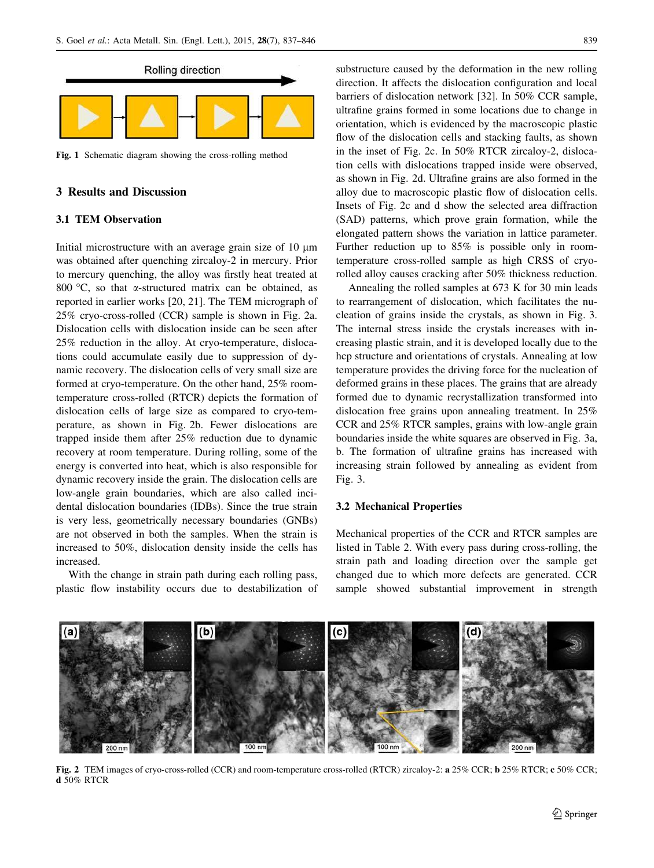

Fig. 1 Schematic diagram showing the cross-rolling method

## 3 Results and Discussion

## 3.1 TEM Observation

Initial microstructure with an average grain size of  $10 \mu m$ was obtained after quenching zircaloy-2 in mercury. Prior to mercury quenching, the alloy was firstly heat treated at 800  $\degree$ C, so that  $\alpha$ -structured matrix can be obtained, as reported in earlier works [20, 21]. The TEM micrograph of 25% cryo-cross-rolled (CCR) sample is shown in Fig. 2a. Dislocation cells with dislocation inside can be seen after 25% reduction in the alloy. At cryo-temperature, dislocations could accumulate easily due to suppression of dynamic recovery. The dislocation cells of very small size are formed at cryo-temperature. On the other hand, 25% roomtemperature cross-rolled (RTCR) depicts the formation of dislocation cells of large size as compared to cryo-temperature, as shown in Fig. 2b. Fewer dislocations are trapped inside them after 25% reduction due to dynamic recovery at room temperature. During rolling, some of the energy is converted into heat, which is also responsible for dynamic recovery inside the grain. The dislocation cells are low-angle grain boundaries, which are also called incidental dislocation boundaries (IDBs). Since the true strain is very less, geometrically necessary boundaries (GNBs) are not observed in both the samples. When the strain is increased to 50%, dislocation density inside the cells has increased.

With the change in strain path during each rolling pass, plastic flow instability occurs due to destabilization of substructure caused by the deformation in the new rolling direction. It affects the dislocation configuration and local barriers of dislocation network [32]. In 50% CCR sample, ultrafine grains formed in some locations due to change in orientation, which is evidenced by the macroscopic plastic flow of the dislocation cells and stacking faults, as shown in the inset of Fig. 2c. In 50% RTCR zircaloy-2, dislocation cells with dislocations trapped inside were observed, as shown in Fig. 2d. Ultrafine grains are also formed in the alloy due to macroscopic plastic flow of dislocation cells. Insets of Fig. 2c and d show the selected area diffraction (SAD) patterns, which prove grain formation, while the elongated pattern shows the variation in lattice parameter. Further reduction up to 85% is possible only in roomtemperature cross-rolled sample as high CRSS of cryorolled alloy causes cracking after 50% thickness reduction.

Annealing the rolled samples at 673 K for 30 min leads to rearrangement of dislocation, which facilitates the nucleation of grains inside the crystals, as shown in Fig. 3. The internal stress inside the crystals increases with increasing plastic strain, and it is developed locally due to the hcp structure and orientations of crystals. Annealing at low temperature provides the driving force for the nucleation of deformed grains in these places. The grains that are already formed due to dynamic recrystallization transformed into dislocation free grains upon annealing treatment. In 25% CCR and 25% RTCR samples, grains with low-angle grain boundaries inside the white squares are observed in Fig. 3a, b. The formation of ultrafine grains has increased with increasing strain followed by annealing as evident from Fig. 3.

#### 3.2 Mechanical Properties

Mechanical properties of the CCR and RTCR samples are listed in Table 2. With every pass during cross-rolling, the strain path and loading direction over the sample get changed due to which more defects are generated. CCR sample showed substantial improvement in strength



Fig. 2 TEM images of cryo-cross-rolled (CCR) and room-temperature cross-rolled (RTCR) zircaloy-2: a 25% CCR; b 25% RTCR; c 50% CCR; d 50% RTCR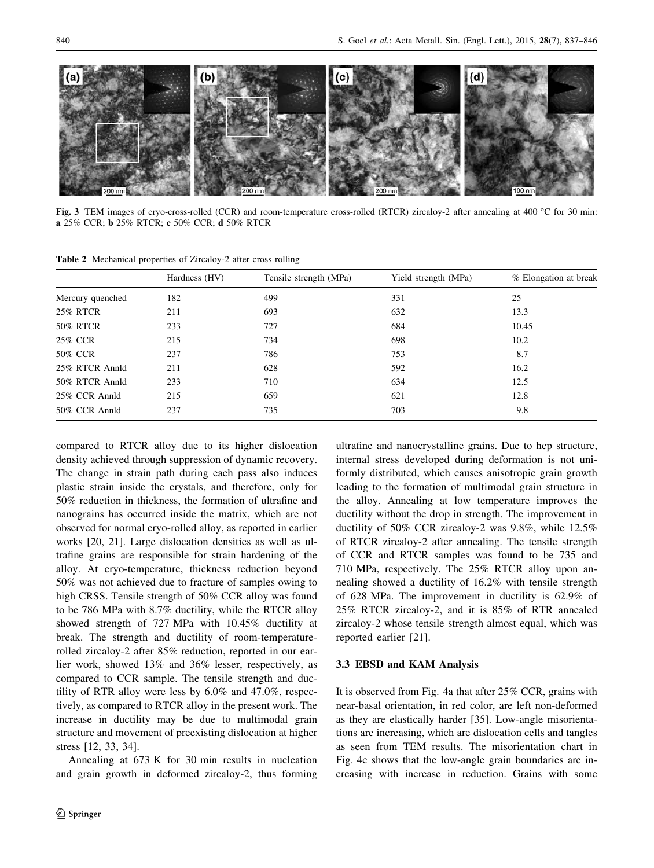

Fig. 3 TEM images of cryo-cross-rolled (CCR) and room-temperature cross-rolled (RTCR) zircaloy-2 after annealing at 400 °C for 30 min: a 25% CCR; b 25% RTCR; c 50% CCR; d 50% RTCR

Table 2 Mechanical properties of Zircaloy-2 after cross rolling

|                  | Hardness (HV) | Tensile strength (MPa) | Yield strength (MPa) | % Elongation at break |
|------------------|---------------|------------------------|----------------------|-----------------------|
| Mercury quenched | 182           | 499                    | 331                  | 25                    |
| <b>25% RTCR</b>  | 211           | 693                    | 632                  | 13.3                  |
| <b>50% RTCR</b>  | 233           | 727                    | 684                  | 10.45                 |
| 25% CCR          | 215           | 734                    | 698                  | 10.2                  |
| 50% CCR          | 237           | 786                    | 753                  | 8.7                   |
| 25% RTCR Annld   | 211           | 628                    | 592                  | 16.2                  |
| 50% RTCR Annld   | 233           | 710                    | 634                  | 12.5                  |
| 25% CCR Annld    | 215           | 659                    | 621                  | 12.8                  |
| 50% CCR Annld    | 237           | 735                    | 703                  | 9.8                   |

compared to RTCR alloy due to its higher dislocation density achieved through suppression of dynamic recovery. The change in strain path during each pass also induces plastic strain inside the crystals, and therefore, only for 50% reduction in thickness, the formation of ultrafine and nanograins has occurred inside the matrix, which are not observed for normal cryo-rolled alloy, as reported in earlier works [20, 21]. Large dislocation densities as well as ultrafine grains are responsible for strain hardening of the alloy. At cryo-temperature, thickness reduction beyond 50% was not achieved due to fracture of samples owing to high CRSS. Tensile strength of 50% CCR alloy was found to be 786 MPa with 8.7% ductility, while the RTCR alloy showed strength of 727 MPa with 10.45% ductility at break. The strength and ductility of room-temperaturerolled zircaloy-2 after 85% reduction, reported in our earlier work, showed 13% and 36% lesser, respectively, as compared to CCR sample. The tensile strength and ductility of RTR alloy were less by 6.0% and 47.0%, respectively, as compared to RTCR alloy in the present work. The increase in ductility may be due to multimodal grain structure and movement of preexisting dislocation at higher stress [12, 33, 34].

Annealing at 673 K for 30 min results in nucleation and grain growth in deformed zircaloy-2, thus forming ultrafine and nanocrystalline grains. Due to hcp structure, internal stress developed during deformation is not uniformly distributed, which causes anisotropic grain growth leading to the formation of multimodal grain structure in the alloy. Annealing at low temperature improves the ductility without the drop in strength. The improvement in ductility of 50% CCR zircaloy-2 was 9.8%, while 12.5% of RTCR zircaloy-2 after annealing. The tensile strength of CCR and RTCR samples was found to be 735 and 710 MPa, respectively. The 25% RTCR alloy upon annealing showed a ductility of 16.2% with tensile strength of 628 MPa. The improvement in ductility is 62.9% of 25% RTCR zircaloy-2, and it is 85% of RTR annealed zircaloy-2 whose tensile strength almost equal, which was reported earlier [21].

#### 3.3 EBSD and KAM Analysis

It is observed from Fig. 4a that after 25% CCR, grains with near-basal orientation, in red color, are left non-deformed as they are elastically harder [35]. Low-angle misorientations are increasing, which are dislocation cells and tangles as seen from TEM results. The misorientation chart in Fig. 4c shows that the low-angle grain boundaries are increasing with increase in reduction. Grains with some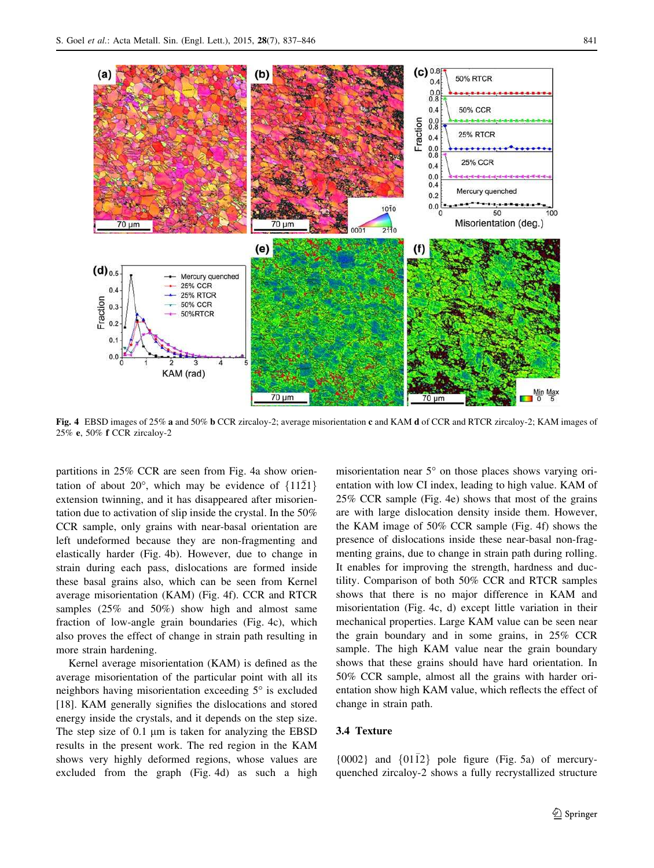

Fig. 4 EBSD images of 25% a and 50% b CCR zircaloy-2; average misorientation c and KAM d of CCR and RTCR zircaloy-2; KAM images of 25% e, 50% f CCR zircaloy-2

partitions in 25% CCR are seen from Fig. 4a show orientation of about 20°, which may be evidence of  $\{11\overline{2}1\}$ extension twinning, and it has disappeared after misorientation due to activation of slip inside the crystal. In the 50% CCR sample, only grains with near-basal orientation are left undeformed because they are non-fragmenting and elastically harder (Fig. 4b). However, due to change in strain during each pass, dislocations are formed inside these basal grains also, which can be seen from Kernel average misorientation (KAM) (Fig. 4f). CCR and RTCR samples (25% and 50%) show high and almost same fraction of low-angle grain boundaries (Fig. 4c), which also proves the effect of change in strain path resulting in more strain hardening.

Kernel average misorientation (KAM) is defined as the average misorientation of the particular point with all its neighbors having misorientation exceeding  $5^\circ$  is excluded [18]. KAM generally signifies the dislocations and stored energy inside the crystals, and it depends on the step size. The step size of  $0.1 \mu m$  is taken for analyzing the EBSD results in the present work. The red region in the KAM shows very highly deformed regions, whose values are excluded from the graph (Fig. 4d) as such a high

misorientation near  $5^{\circ}$  on those places shows varying orientation with low CI index, leading to high value. KAM of 25% CCR sample (Fig. 4e) shows that most of the grains are with large dislocation density inside them. However, the KAM image of 50% CCR sample (Fig. 4f) shows the presence of dislocations inside these near-basal non-fragmenting grains, due to change in strain path during rolling. It enables for improving the strength, hardness and ductility. Comparison of both 50% CCR and RTCR samples shows that there is no major difference in KAM and misorientation (Fig. 4c, d) except little variation in their mechanical properties. Large KAM value can be seen near the grain boundary and in some grains, in 25% CCR sample. The high KAM value near the grain boundary shows that these grains should have hard orientation. In 50% CCR sample, almost all the grains with harder orientation show high KAM value, which reflects the effect of change in strain path.

#### 3.4 Texture

{0002} and  ${01\overline{12}}$  pole figure (Fig. 5a) of mercuryquenched zircaloy-2 shows a fully recrystallized structure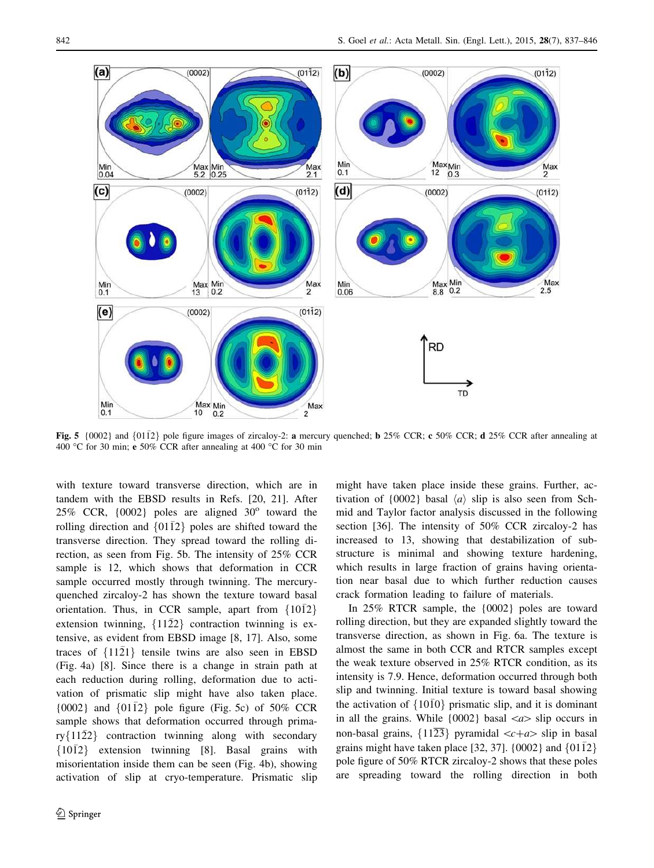

Fig. 5 {0002} and {0112} pole figure images of zircaloy-2: **a** mercury quenched; **b** 25% CCR; **c** 50% CCR; **d** 25% CCR after annealing at 400 °C for 30 min; e 50% CCR after annealing at 400 °C for 30 min

with texture toward transverse direction, which are in tandem with the EBSD results in Refs. [20, 21]. After 25% CCR,  ${0002}$  poles are aligned  $30^\circ$  toward the rolling direction and  $\{01\overline{1}2\}$  poles are shifted toward the transverse direction. They spread toward the rolling direction, as seen from Fig. 5b. The intensity of 25% CCR sample is 12, which shows that deformation in CCR sample occurred mostly through twinning. The mercuryquenched zircaloy-2 has shown the texture toward basal orientation. Thus, in CCR sample, apart from  $\{10\overline{1}2\}$ extension twinning,  $\{11\overline{2}2\}$  contraction twinning is extensive, as evident from EBSD image [8, 17]. Also, some traces of  $\{11\overline{2}1\}$  tensile twins are also seen in EBSD (Fig. 4a) [8]. Since there is a change in strain path at each reduction during rolling, deformation due to activation of prismatic slip might have also taken place. {0002} and {0112} pole figure (Fig. 5c) of  $50\%$  CCR sample shows that deformation occurred through primary $\{11\overline{2}2\}$  contraction twinning along with secondary f1012- g extension twinning [8]. Basal grains with misorientation inside them can be seen (Fig. 4b), showing activation of slip at cryo-temperature. Prismatic slip might have taken place inside these grains. Further, activation of  $\{0002\}$  basal  $\langle a \rangle$  slip is also seen from Schmid and Taylor factor analysis discussed in the following section [36]. The intensity of 50% CCR zircaloy-2 has increased to 13, showing that destabilization of substructure is minimal and showing texture hardening, which results in large fraction of grains having orientation near basal due to which further reduction causes crack formation leading to failure of materials.

In 25% RTCR sample, the {0002} poles are toward rolling direction, but they are expanded slightly toward the transverse direction, as shown in Fig. 6a. The texture is almost the same in both CCR and RTCR samples except the weak texture observed in 25% RTCR condition, as its intensity is 7.9. Hence, deformation occurred through both slip and twinning. Initial texture is toward basal showing the activation of  $\{10\bar{1}0\}$  prismatic slip, and it is dominant in all the grains. While  $\{0002\}$  basal  $\langle a \rangle$  slip occurs in non-basal grains,  $\{11\overline{23}\}$  pyramidal  $\langle c+a\rangle$  slip in basal grains might have taken place [32, 37].  $\{0002\}$  and  $\{01\overline{12}\}$ pole figure of 50% RTCR zircaloy-2 shows that these poles are spreading toward the rolling direction in both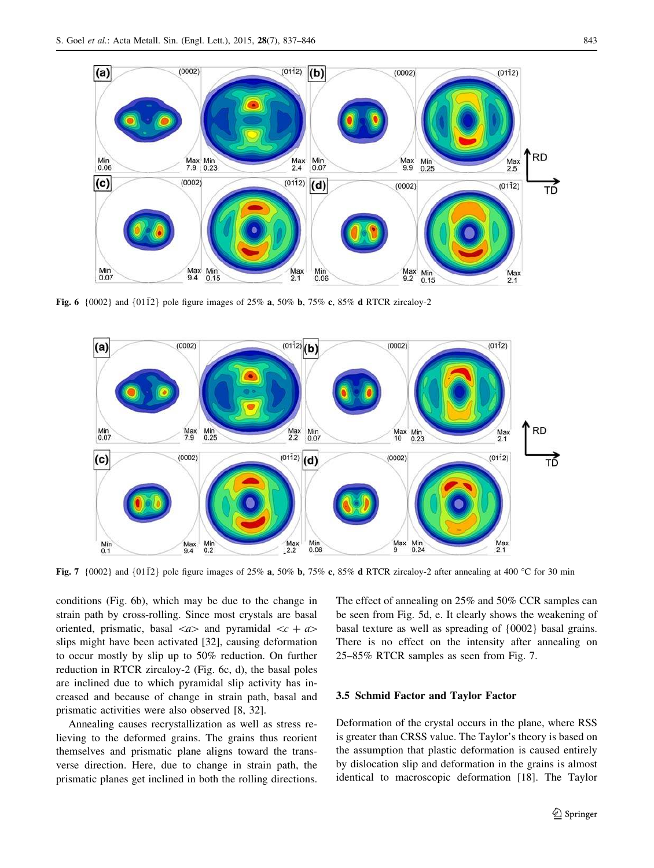

**Fig. 6** {0002} and {0112} pole figure images of 25% **a**, 50% **b**, 75% **c**, 85% **d** RTCR zircaloy-2



Fig. 7 {0002} and {0112} pole figure images of 25% a, 50% b, 75% c, 85% d RTCR zircaloy-2 after annealing at 400 °C for 30 min

conditions (Fig. 6b), which may be due to the change in strain path by cross-rolling. Since most crystals are basal oriented, prismatic, basal  $\langle a \rangle$  and pyramidal  $\langle c + a \rangle$ slips might have been activated [32], causing deformation to occur mostly by slip up to 50% reduction. On further reduction in RTCR zircaloy-2 (Fig. 6c, d), the basal poles are inclined due to which pyramidal slip activity has increased and because of change in strain path, basal and prismatic activities were also observed [8, 32].

Annealing causes recrystallization as well as stress relieving to the deformed grains. The grains thus reorient themselves and prismatic plane aligns toward the transverse direction. Here, due to change in strain path, the prismatic planes get inclined in both the rolling directions.

The effect of annealing on 25% and 50% CCR samples can be seen from Fig. 5d, e. It clearly shows the weakening of basal texture as well as spreading of {0002} basal grains. There is no effect on the intensity after annealing on 25–85% RTCR samples as seen from Fig. 7.

#### 3.5 Schmid Factor and Taylor Factor

Deformation of the crystal occurs in the plane, where RSS is greater than CRSS value. The Taylor's theory is based on the assumption that plastic deformation is caused entirely by dislocation slip and deformation in the grains is almost identical to macroscopic deformation [18]. The Taylor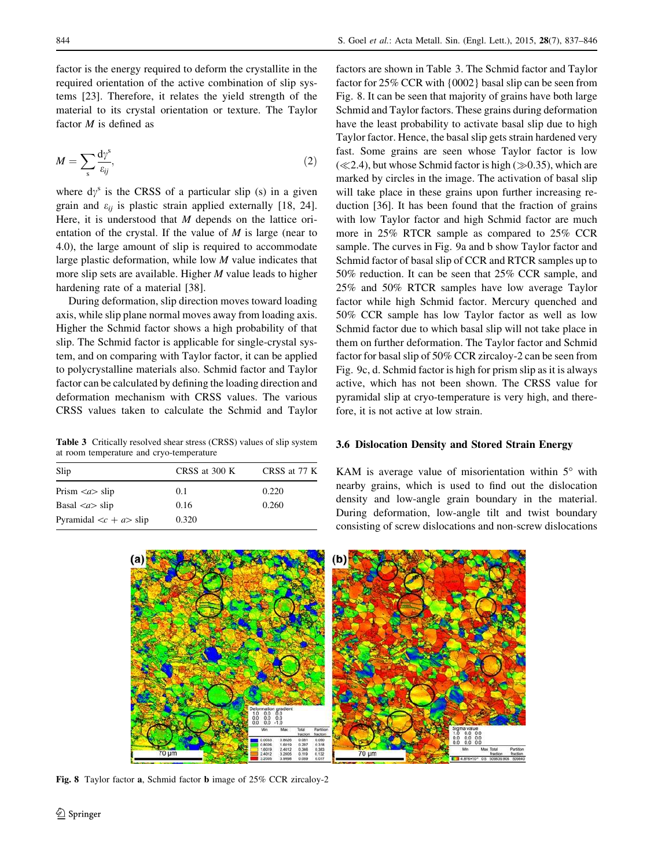factor is the energy required to deform the crystallite in the required orientation of the active combination of slip systems [23]. Therefore, it relates the yield strength of the material to its crystal orientation or texture. The Taylor factor *M* is defined as

$$
M = \sum_{s} \frac{d\gamma^{s}}{\varepsilon_{ij}},\tag{2}
$$

where  $dy^s$  is the CRSS of a particular slip (s) in a given grain and  $\varepsilon_{ii}$  is plastic strain applied externally [18, 24]. Here, it is understood that *M* depends on the lattice orientation of the crystal. If the value of *M* is large (near to 4.0), the large amount of slip is required to accommodate large plastic deformation, while low *M* value indicates that more slip sets are available. Higher *M* value leads to higher hardening rate of a material [38].

During deformation, slip direction moves toward loading axis, while slip plane normal moves away from loading axis. Higher the Schmid factor shows a high probability of that slip. The Schmid factor is applicable for single-crystal system, and on comparing with Taylor factor, it can be applied to polycrystalline materials also. Schmid factor and Taylor factor can be calculated by defining the loading direction and deformation mechanism with CRSS values. The various CRSS values taken to calculate the Schmid and Taylor

Table 3 Critically resolved shear stress (CRSS) values of slip system at room temperature and cryo-temperature

| Slip                                   | CRSS at 300 K | CRSS at 77 K |  |
|----------------------------------------|---------------|--------------|--|
|                                        |               |              |  |
| Prism $\langle a \rangle$ slip         | 0.1           | 0.220        |  |
| Basal $\langle a \rangle$ slip         | 0.16          | 0.260        |  |
| Pyramidal $\langle c + a \rangle$ slip | 0.320         |              |  |

factors are shown in Table 3. The Schmid factor and Taylor factor for 25% CCR with {0002} basal slip can be seen from Fig. 8. It can be seen that majority of grains have both large Schmid and Taylor factors. These grains during deformation have the least probability to activate basal slip due to high Taylor factor. Hence, the basal slip gets strain hardened very fast. Some grains are seen whose Taylor factor is low  $(\ll 2.4)$ , but whose Schmid factor is high ( $\gg 0.35$ ), which are marked by circles in the image. The activation of basal slip will take place in these grains upon further increasing reduction [36]. It has been found that the fraction of grains with low Taylor factor and high Schmid factor are much more in 25% RTCR sample as compared to 25% CCR sample. The curves in Fig. 9a and b show Taylor factor and Schmid factor of basal slip of CCR and RTCR samples up to 50% reduction. It can be seen that 25% CCR sample, and 25% and 50% RTCR samples have low average Taylor factor while high Schmid factor. Mercury quenched and 50% CCR sample has low Taylor factor as well as low Schmid factor due to which basal slip will not take place in them on further deformation. The Taylor factor and Schmid factor for basal slip of 50% CCR zircaloy-2 can be seen from Fig. 9c, d. Schmid factor is high for prism slip as it is always active, which has not been shown. The CRSS value for pyramidal slip at cryo-temperature is very high, and therefore, it is not active at low strain.

#### 3.6 Dislocation Density and Stored Strain Energy

KAM is average value of misorientation within  $5^\circ$  with nearby grains, which is used to find out the dislocation density and low-angle grain boundary in the material. During deformation, low-angle tilt and twist boundary consisting of screw dislocations and non-screw dislocations



Fig. 8 Taylor factor a, Schmid factor b image of 25% CCR zircaloy-2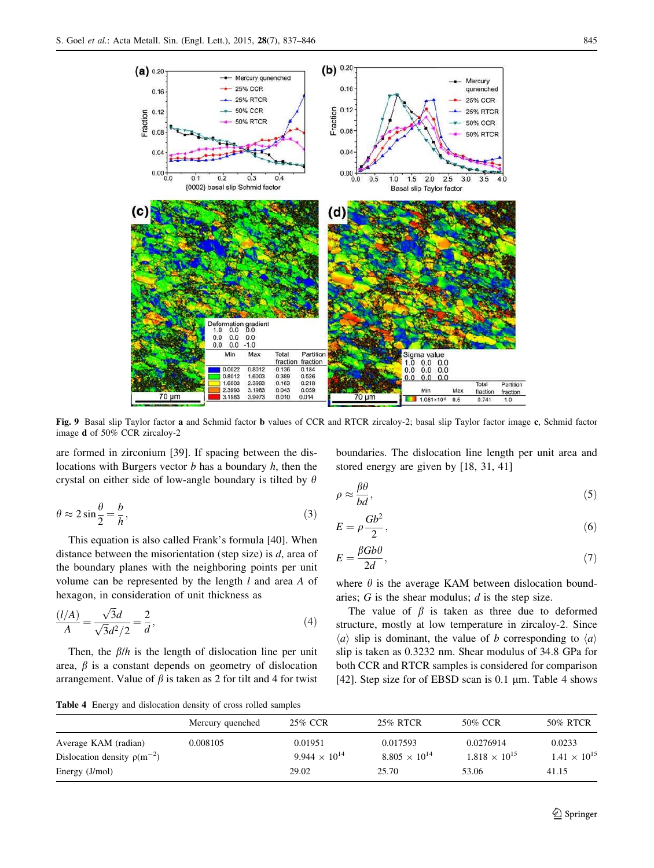

Fig. 9 Basal slip Taylor factor a and Schmid factor b values of CCR and RTCR zircaloy-2; basal slip Taylor factor image c, Schmid factor image d of 50% CCR zircaloy-2

are formed in zirconium [39]. If spacing between the dislocations with Burgers vector *b* has a boundary *h*, then the crystal on either side of low-angle boundary is tilted by  $\theta$ 

$$
\theta \approx 2\sin\frac{\theta}{2} = \frac{b}{h},\tag{3}
$$

This equation is also called Frank's formula [40]. When distance between the misorientation (step size) is *d*, area of the boundary planes with the neighboring points per unit volume can be represented by the length *l* and area *A* of hexagon, in consideration of unit thickness as

$$
\frac{(l/A)}{A} = \frac{\sqrt{3}d}{\sqrt{3}d^2/2} = \frac{2}{d},\tag{4}
$$

Then, the  $\beta/h$  is the length of dislocation line per unit area,  $\beta$  is a constant depends on geometry of dislocation arrangement. Value of  $\beta$  is taken as 2 for tilt and 4 for twist

boundaries. The dislocation line length per unit area and stored energy are given by [18, 31, 41]

$$
\rho \approx \frac{\beta \theta}{bd},\tag{5}
$$

$$
E = \rho \frac{Gb^2}{2},\tag{6}
$$

$$
E = \frac{\beta G b \theta}{2d},\tag{7}
$$

where  $\theta$  is the average KAM between dislocation boundaries; *G* is the shear modulus; *d* is the step size.

The value of  $\beta$  is taken as three due to deformed structure, mostly at low temperature in zircaloy-2. Since  $\langle a \rangle$  slip is dominant, the value of *b* corresponding to  $\langle a \rangle$ slip is taken as 0.3232 nm. Shear modulus of 34.8 GPa for both CCR and RTCR samples is considered for comparison [42]. Step size for of EBSD scan is  $0.1 \mu$ m. Table 4 shows

Table 4 Energy and dislocation density of cross rolled samples

| 25% RTCR<br>25% CCR<br>50% CCR<br>Mercury quenched<br>0.017593<br>0.0276914<br>0.008105<br>0.01951<br>0.0233<br>Average KAM (radian)<br>$9.944 \times 10^{14}$<br>$1.818 \times 10^{15}$<br>$8.805 \times 10^{14}$<br>Dislocation density $\rho(m^{-2})$<br>Energy (J/mol)<br>25.70<br>29.02<br>53.06<br>41.15 |  |  |                       |
|----------------------------------------------------------------------------------------------------------------------------------------------------------------------------------------------------------------------------------------------------------------------------------------------------------------|--|--|-----------------------|
|                                                                                                                                                                                                                                                                                                                |  |  | 50% RTCR              |
|                                                                                                                                                                                                                                                                                                                |  |  | $1.41 \times 10^{15}$ |
|                                                                                                                                                                                                                                                                                                                |  |  |                       |